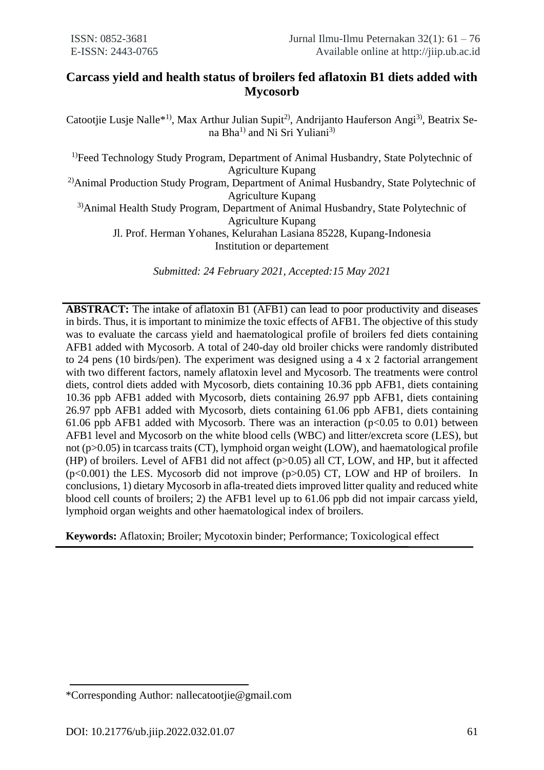# **Carcass yield and health status of broilers fed aflatoxin B1 diets added with Mycosorb**

Catootjie Lusje Nalle\*<sup>1)</sup>, Max Arthur Julian Supit<sup>2)</sup>, Andrijanto Hauferson Angi<sup>3)</sup>, Beatrix Sena Bha<sup>1)</sup> and Ni Sri Yuliani<sup>3)</sup>

<sup>1)</sup>Feed Technology Study Program, Department of Animal Husbandry, State Polytechnic of Agriculture Kupang <sup>2)</sup>Animal Production Study Program, Department of Animal Husbandry, State Polytechnic of Agriculture Kupang 3)Animal Health Study Program, Department of Animal Husbandry, State Polytechnic of Agriculture Kupang Jl. Prof. Herman Yohanes, Kelurahan Lasiana 85228, Kupang-Indonesia Institution or departement

*Submitted: 24 February 2021, Accepted:15 May 2021*

**ABSTRACT:** The intake of aflatoxin B1 (AFB1) can lead to poor productivity and diseases in birds. Thus, it is important to minimize the toxic effects of AFB1. The objective of this study was to evaluate the carcass yield and haematological profile of broilers fed diets containing AFB1 added with Mycosorb. A total of 240-day old broiler chicks were randomly distributed to 24 pens (10 birds/pen). The experiment was designed using a 4 x 2 factorial arrangement with two different factors, namely aflatoxin level and Mycosorb. The treatments were control diets, control diets added with Mycosorb, diets containing 10.36 ppb AFB1, diets containing 10.36 ppb AFB1 added with Mycosorb, diets containing 26.97 ppb AFB1, diets containing 26.97 ppb AFB1 added with Mycosorb, diets containing 61.06 ppb AFB1, diets containing 61.06 ppb AFB1 added with Mycosorb. There was an interaction ( $p<0.05$  to 0.01) between AFB1 level and Mycosorb on the white blood cells (WBC) and litter/excreta score (LES), but not (p>0.05) in tcarcass traits (CT), lymphoid organ weight (LOW), and haematological profile (HP) of broilers. Level of AFB1 did not affect (p>0.05) all CT, LOW, and HP, but it affected  $(p<0.001)$  the LES. Mycosorb did not improve  $(p>0.05)$  CT, LOW and HP of broilers. In conclusions, 1) dietary Mycosorb in afla-treated diets improved litter quality and reduced white blood cell counts of broilers; 2) the AFB1 level up to 61.06 ppb did not impair carcass yield, lymphoid organ weights and other haematological index of broilers.

**Keywords:** Aflatoxin; Broiler; Mycotoxin binder; Performance; Toxicological effect

<sup>\*</sup>Corresponding Author: nallecatootjie@gmail.com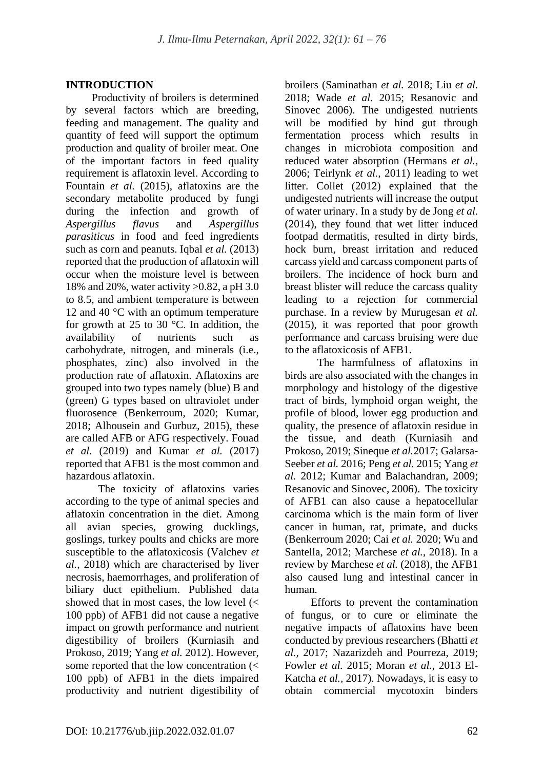## **INTRODUCTION**

Productivity of broilers is determined by several factors which are breeding, feeding and management. The quality and quantity of feed will support the optimum production and quality of broiler meat. One of the important factors in feed quality requirement is aflatoxin level. According to Fountain *et al.* (2015), aflatoxins are the secondary metabolite produced by fungi during the infection and growth of *Aspergillus flavus* and *Aspergillus parasiticus* in food and feed ingredients such as corn and peanuts. Iqbal *et al.* (2013) reported that the production of aflatoxin will occur when the moisture level is between 18% and 20%, water activity >0.82, a pH 3.0 to 8.5, and ambient temperature is between 12 and 40 °C with an optimum temperature for growth at 25 to 30 °C. In addition, the availability of nutrients such as carbohydrate, nitrogen, and minerals (i.e., phosphates, zinc) also involved in the production rate of aflatoxin. Aflatoxins are grouped into two types namely (blue) B and (green) G types based on ultraviolet under fluorosence (Benkerroum, 2020; Kumar, 2018; Alhousein and Gurbuz, 2015), these are called AFB or AFG respectively. Fouad *et al.* (2019) and Kumar *et al.* (2017) reported that AFB1 is the most common and hazardous aflatoxin.

The toxicity of aflatoxins varies according to the type of animal species and aflatoxin concentration in the diet. Among all avian species, growing ducklings, goslings, turkey poults and chicks are more susceptible to the aflatoxicosis (Valchev *et al.*, 2018) which are characterised by liver necrosis, haemorrhages, and proliferation of biliary duct epithelium. Published data showed that in most cases, the low level (< 100 ppb) of AFB1 did not cause a negative impact on growth performance and nutrient digestibility of broilers (Kurniasih and Prokoso, 2019; Yang *et al.* 2012). However, some reported that the low concentration (< 100 ppb) of AFB1 in the diets impaired productivity and nutrient digestibility of broilers (Saminathan *et al.* 2018; Liu *et al.* 2018; Wade *et al.* 2015; Resanovic and Sinovec 2006). The undigested nutrients will be modified by hind gut through fermentation process which results in changes in microbiota composition and reduced water absorption (Hermans *et al.,* 2006; Teirlynk *et al.,* 2011) leading to wet litter. Collet (2012) explained that the undigested nutrients will increase the output of water urinary. In a study by de Jong *et al.* (2014), they found that wet litter induced footpad dermatitis, resulted in dirty birds, hock burn, breast irritation and reduced carcass yield and carcass component parts of broilers. The incidence of hock burn and breast blister will reduce the carcass quality leading to a rejection for commercial purchase. In a review by Murugesan *et al.* (2015), it was reported that poor growth performance and carcass bruising were due to the aflatoxicosis of AFB1.

The harmfulness of aflatoxins in birds are also associated with the changes in morphology and histology of the digestive tract of birds, lymphoid organ weight, the profile of blood, lower egg production and quality, the presence of aflatoxin residue in the tissue, and death (Kurniasih and Prokoso, 2019; Sineque *et al.*2017; Galarsa-Seeber *et al.* 2016; Peng *et al.* 2015; Yang *et al.* 2012; Kumar and Balachandran, 2009; Resanovic and Sinovec, 2006). The toxicity of AFB1 can also cause a hepatocellular carcinoma which is the main form of liver cancer in human, rat, primate, and ducks (Benkerroum 2020; Cai *et al.* 2020; Wu and Santella, 2012; Marchese *et al.*, 2018). In a review by Marchese *et al.* (2018), the AFB1 also caused lung and intestinal cancer in human.

Efforts to prevent the contamination of fungus, or to cure or eliminate the negative impacts of aflatoxins have been conducted by previous researchers (Bhatti *et al.,* 2017; Nazarizdeh and Pourreza, 2019; Fowler *et al.* 2015; Moran *et al.,* 2013 El-Katcha *et al.,* 2017). Nowadays, it is easy to obtain commercial mycotoxin binders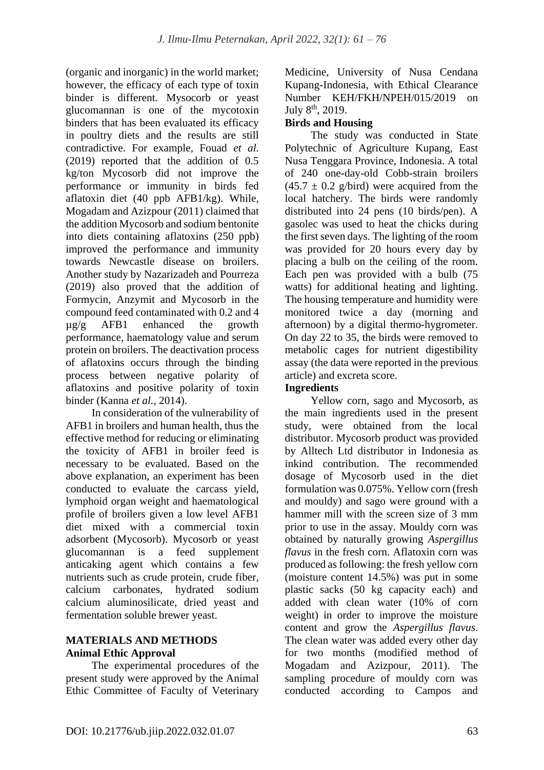(organic and inorganic) in the world market; however, the efficacy of each type of toxin binder is different. Mysocorb or yeast glucomannan is one of the mycotoxin binders that has been evaluated its efficacy in poultry diets and the results are still contradictive. For example, Fouad *et al.* (2019) reported that the addition of 0.5 kg/ton Mycosorb did not improve the performance or immunity in birds fed aflatoxin diet (40 ppb AFB1/kg). While, Mogadam and Azizpour (2011) claimed that the addition Mycosorb and sodium bentonite into diets containing aflatoxins (250 ppb) improved the performance and immunity towards Newcastle disease on broilers. Another study by Nazarizadeh and Pourreza (2019) also proved that the addition of Formycin, Anzymit and Mycosorb in the compound feed contaminated with 0.2 and 4 µg/g AFB1 enhanced the growth performance, haematology value and serum protein on broilers. The deactivation process of aflatoxins occurs through the binding process between negative polarity of aflatoxins and positive polarity of toxin binder (Kanna *et al.,* 2014).

In consideration of the vulnerability of AFB1 in broilers and human health, thus the effective method for reducing or eliminating the toxicity of AFB1 in broiler feed is necessary to be evaluated. Based on the above explanation, an experiment has been conducted to evaluate the carcass yield, lymphoid organ weight and haematological profile of broilers given a low level AFB1 diet mixed with a commercial toxin adsorbent (Mycosorb). Mycosorb or yeast glucomannan is a feed supplement anticaking agent which contains a few nutrients such as crude protein, crude fiber, calcium carbonates, hydrated sodium calcium aluminosilicate, dried yeast and fermentation soluble brewer yeast.

# **MATERIALS AND METHODS Animal Ethic Approval**

The experimental procedures of the present study were approved by the Animal Ethic Committee of Faculty of Veterinary Medicine, University of Nusa Cendana Kupang-Indonesia, with Ethical Clearance Number KEH/FKH/NPEH/015/2019 on July 8<sup>th</sup>, 2019.

# **Birds and Housing**

The study was conducted in State Polytechnic of Agriculture Kupang, East Nusa Tenggara Province, Indonesia. A total of 240 one-day-old Cobb-strain broilers  $(45.7 \pm 0.2 \text{ g/bird})$  were acquired from the local hatchery. The birds were randomly distributed into 24 pens (10 birds/pen). A gasolec was used to heat the chicks during the first seven days. The lighting of the room was provided for 20 hours every day by placing a bulb on the ceiling of the room. Each pen was provided with a bulb (75 watts) for additional heating and lighting. The housing temperature and humidity were monitored twice a day (morning and afternoon) by a digital thermo-hygrometer. On day 22 to 35, the birds were removed to metabolic cages for nutrient digestibility assay (the data were reported in the previous article) and excreta score.

# **Ingredients**

Yellow corn, sago and Mycosorb, as the main ingredients used in the present study, were obtained from the local distributor. Mycosorb product was provided by Alltech Ltd distributor in Indonesia as inkind contribution. The recommended dosage of Mycosorb used in the diet formulation was 0.075%. Yellow corn (fresh and mouldy) and sago were ground with a hammer mill with the screen size of 3 mm prior to use in the assay. Mouldy corn was obtained by naturally growing *Aspergillus flavus* in the fresh corn. Aflatoxin corn was produced as following: the fresh yellow corn (moisture content 14.5%) was put in some plastic sacks (50 kg capacity each) and added with clean water (10% of corn weight) in order to improve the moisture content and grow the *Aspergillus flavus*. The clean water was added every other day for two months (modified method of Mogadam and Azizpour, 2011). The sampling procedure of mouldy corn was conducted according to Campos and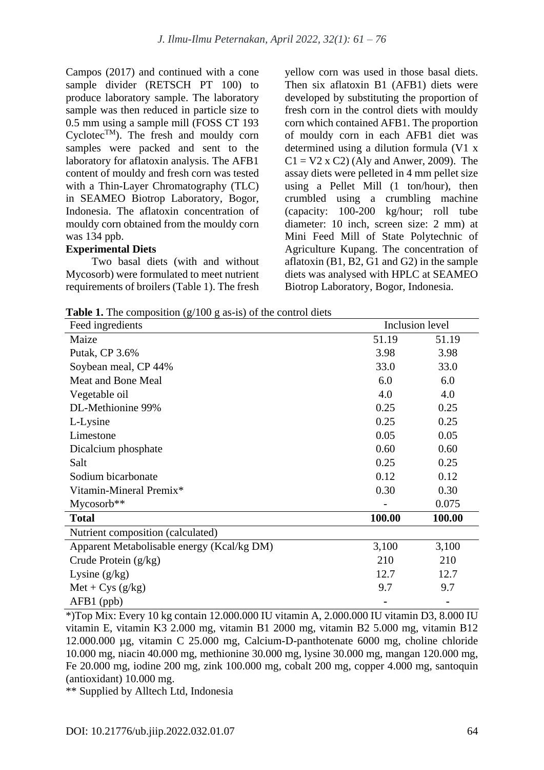Campos (2017) and continued with a cone sample divider (RETSCH PT 100) to produce laboratory sample. The laboratory sample was then reduced in particle size to 0.5 mm using a sample mill (FOSS CT 193 Cyclotec<sup>TM</sup>). The fresh and mouldy corn samples were packed and sent to the laboratory for aflatoxin analysis. The AFB1 content of mouldy and fresh corn was tested with a Thin-Layer Chromatography (TLC) in SEAMEO Biotrop Laboratory, Bogor, Indonesia. The aflatoxin concentration of mouldy corn obtained from the mouldy corn was 134 ppb.

## **Experimental Diets**

Two basal diets (with and without Mycosorb) were formulated to meet nutrient requirements of broilers (Table 1). The fresh yellow corn was used in those basal diets. Then six aflatoxin B1 (AFB1) diets were developed by substituting the proportion of fresh corn in the control diets with mouldy corn which contained AFB1. The proportion of mouldy corn in each AFB1 diet was determined using a dilution formula (V1 x  $C1 = V2$  x  $C2$ ) (Aly and Anwer, 2009). The assay diets were pelleted in 4 mm pellet size using a Pellet Mill (1 ton/hour), then crumbled using a crumbling machine (capacity:  $100-200$  kg/hour; roll tube diameter: 10 inch, screen size: 2 mm) at Mini Feed Mill of State Polytechnic of Agriculture Kupang. The concentration of aflatoxin (B1, B2, G1 and G2) in the sample diets was analysed with HPLC at SEAMEO Biotrop Laboratory, Bogor, Indonesia.

**Table 1.** The composition (g/100 g as-is) of the control diets

| Feed ingredients                           |        | Inclusion level |  |  |
|--------------------------------------------|--------|-----------------|--|--|
| Maize                                      | 51.19  | 51.19           |  |  |
| Putak, CP 3.6%                             | 3.98   | 3.98            |  |  |
| Soybean meal, CP 44%                       | 33.0   | 33.0            |  |  |
| <b>Meat and Bone Meal</b>                  | 6.0    | 6.0             |  |  |
| Vegetable oil                              | 4.0    | 4.0             |  |  |
| DL-Methionine 99%                          | 0.25   | 0.25            |  |  |
| L-Lysine                                   | 0.25   | 0.25            |  |  |
| Limestone                                  | 0.05   | 0.05            |  |  |
| Dicalcium phosphate                        | 0.60   | 0.60            |  |  |
| Salt                                       | 0.25   | 0.25            |  |  |
| Sodium bicarbonate                         | 0.12   | 0.12            |  |  |
| Vitamin-Mineral Premix*                    | 0.30   | 0.30            |  |  |
| $Mycosorb**$                               |        | 0.075           |  |  |
| <b>Total</b>                               | 100.00 | 100.00          |  |  |
| Nutrient composition (calculated)          |        |                 |  |  |
| Apparent Metabolisable energy (Kcal/kg DM) | 3,100  | 3,100           |  |  |
| Crude Protein (g/kg)                       | 210    | 210             |  |  |
| Lysine $(g/kg)$                            | 12.7   | 12.7            |  |  |
| $Met + Cys (g/kg)$                         | 9.7    | 9.7             |  |  |
| AFB1 (ppb)                                 |        |                 |  |  |

\*)Top Mix: Every 10 kg contain 12.000.000 IU vitamin A, 2.000.000 IU vitamin D3, 8.000 IU vitamin E, vitamin K3 2.000 mg, vitamin B1 2000 mg, vitamin B2 5.000 mg, vitamin B12 12.000.000 µg, vitamin C 25.000 mg, Calcium-D-panthotenate 6000 mg, choline chloride 10.000 mg, niacin 40.000 mg, methionine 30.000 mg, lysine 30.000 mg, mangan 120.000 mg, Fe 20.000 mg, iodine 200 mg, zink 100.000 mg, cobalt 200 mg, copper 4.000 mg, santoquin (antioxidant) 10.000 mg.

\*\* Supplied by Alltech Ltd, Indonesia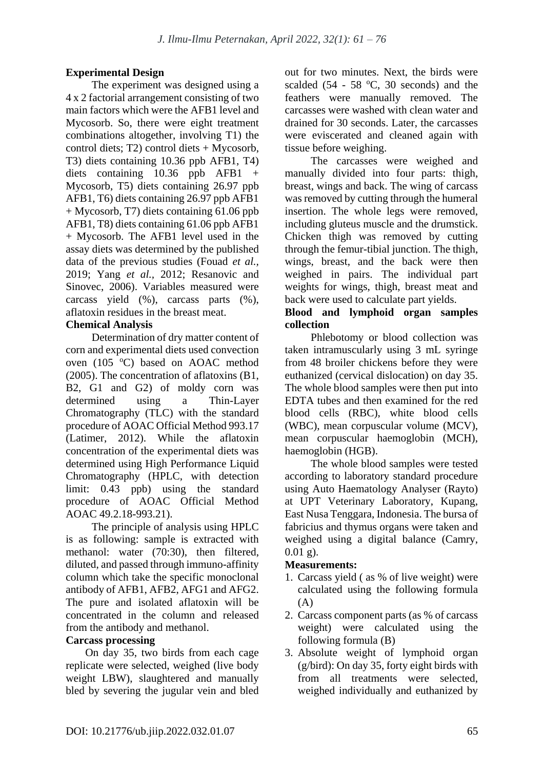# **Experimental Design**

The experiment was designed using a 4 x 2 factorial arrangement consisting of two main factors which were the AFB1 level and Mycosorb. So, there were eight treatment combinations altogether, involving T1) the control diets; T2) control diets + Mycosorb, T3) diets containing 10.36 ppb AFB1, T4) diets containing 10.36 ppb AFB1 + Mycosorb, T5) diets containing 26.97 ppb AFB1, T6) diets containing 26.97 ppb AFB1 + Mycosorb, T7) diets containing 61.06 ppb AFB1, T8) diets containing 61.06 ppb AFB1 + Mycosorb. The AFB1 level used in the assay diets was determined by the published data of the previous studies (Fouad *et al.,* 2019; Yang *et al.,* 2012; Resanovic and Sinovec, 2006). Variables measured were carcass yield (%), carcass parts (%), aflatoxin residues in the breast meat.

# **Chemical Analysis**

Determination of dry matter content of corn and experimental diets used convection oven (105 °C) based on AOAC method (2005). The concentration of aflatoxins (B1, B2, G1 and G2) of moldy corn was determined using a Thin-Layer Chromatography (TLC) with the standard procedure of AOAC Official Method 993.17 (Latimer, 2012). While the aflatoxin concentration of the experimental diets was determined using High Performance Liquid Chromatography (HPLC, with detection limit: 0.43 ppb) using the standard procedure of AOAC Official Method AOAC 49.2.18-993.21).

The principle of analysis using HPLC is as following: sample is extracted with methanol: water (70:30), then filtered, diluted, and passed through immuno-affinity column which take the specific monoclonal antibody of AFB1, AFB2, AFG1 and AFG2. The pure and isolated aflatoxin will be concentrated in the column and released from the antibody and methanol.

## **Carcass processing**

On day 35, two birds from each cage replicate were selected, weighed (live body weight LBW), slaughtered and manually bled by severing the jugular vein and bled out for two minutes. Next, the birds were scalded (54 - 58  $\degree$ C, 30 seconds) and the feathers were manually removed. The carcasses were washed with clean water and drained for 30 seconds. Later, the carcasses were eviscerated and cleaned again with tissue before weighing.

The carcasses were weighed and manually divided into four parts: thigh, breast, wings and back. The wing of carcass was removed by cutting through the humeral insertion. The whole legs were removed, including gluteus muscle and the drumstick. Chicken thigh was removed by cutting through the femur-tibial junction. The thigh, wings, breast, and the back were then weighed in pairs. The individual part weights for wings, thigh, breast meat and back were used to calculate part yields.

## **Blood and lymphoid organ samples collection**

Phlebotomy or blood collection was taken intramuscularly using 3 mL syringe from 48 broiler chickens before they were euthanized (cervical dislocation) on day 35. The whole blood samples were then put into EDTA tubes and then examined for the red blood cells (RBC), white blood cells (WBC), mean corpuscular volume (MCV), mean corpuscular haemoglobin (MCH), haemoglobin (HGB).

The whole blood samples were tested according to laboratory standard procedure using Auto Haematology Analyser (Rayto) at UPT Veterinary Laboratory, Kupang, East Nusa Tenggara, Indonesia. The bursa of fabricius and thymus organs were taken and weighed using a digital balance (Camry,  $0.01 \text{ g}$ ).

## **Measurements:**

- 1. Carcass yield ( as % of live weight) were calculated using the following formula  $(A)$
- 2. Carcass component parts (as % of carcass weight) were calculated using the following formula (B)
- 3. Absolute weight of lymphoid organ (g/bird): On day 35, forty eight birds with from all treatments were selected, weighed individually and euthanized by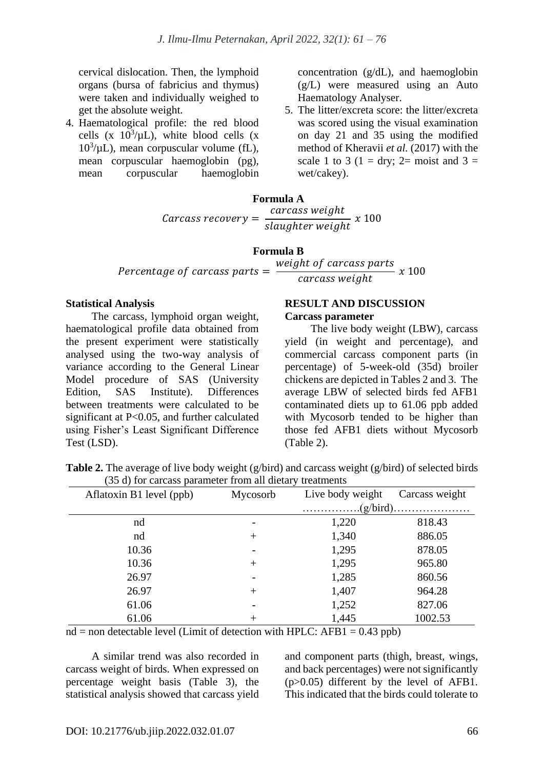cervical dislocation. Then, the lymphoid organs (bursa of fabricius and thymus) were taken and individually weighed to get the absolute weight.

4. Haematological profile: the red blood cells (x  $10^3/\mu L$ ), white blood cells (x  $10<sup>3</sup>/\mu L$ ), mean corpuscular volume (fL), mean corpuscular haemoglobin (pg), mean corpuscular haemoglobin concentration (g/dL), and haemoglobin (g/L) were measured using an Auto Haematology Analyser.

5. The litter/excreta score: the litter/excreta was scored using the visual examination on day 21 and 35 using the modified method of Kheravii *et al.* (2017) with the scale 1 to 3 (1 = dry; 2= moist and 3 = wet/cakey).

#### **Formula A**  $Carcass recovery =$ carcass weight slaughter weight x 100

#### **Formula B**

Percentage of carcass parts  $=$ weight of carcass parts

carcass weight

#### **Statistical Analysis**

The carcass, lymphoid organ weight, haematological profile data obtained from the present experiment were statistically analysed using the two-way analysis of variance according to the General Linear Model procedure of SAS (University Edition, SAS Institute). Differences between treatments were calculated to be significant at P<0.05, and further calculated using Fisher's Least Significant Difference Test (LSD).

# **RESULT AND DISCUSSION**

### **Carcass parameter**

The live body weight (LBW), carcass yield (in weight and percentage), and commercial carcass component parts (in percentage) of 5-week-old (35d) broiler chickens are depicted in Tables 2 and 3. The average LBW of selected birds fed AFB1 contaminated diets up to 61.06 ppb added with Mycosorb tended to be higher than those fed AFB1 diets without Mycosorb (Table 2).

x 100

| (33 a) for calcass parameter from an ulcial y treatments |          |                                                                           |                |  |  |
|----------------------------------------------------------|----------|---------------------------------------------------------------------------|----------------|--|--|
| Aflatoxin B1 level (ppb)                                 | Mycosorb | Live body weight                                                          | Carcass weight |  |  |
|                                                          |          | $\ldots \ldots \ldots \ldots (g/bird) \ldots \ldots \ldots \ldots \ldots$ |                |  |  |
| nd                                                       |          | 1,220                                                                     | 818.43         |  |  |
| nd                                                       | $^{+}$   | 1,340                                                                     | 886.05         |  |  |
| 10.36                                                    |          | 1,295                                                                     | 878.05         |  |  |
| 10.36                                                    | $+$      | 1,295                                                                     | 965.80         |  |  |
| 26.97                                                    |          | 1,285                                                                     | 860.56         |  |  |
| 26.97                                                    | $^{+}$   | 1,407                                                                     | 964.28         |  |  |
| 61.06                                                    |          | 1,252                                                                     | 827.06         |  |  |
| 61.06                                                    | $^+$     | 1,445                                                                     | 1002.53        |  |  |

**Table 2.** The average of live body weight (g/bird) and carcass weight (g/bird) of selected birds (35 d) for carcass parameter from all dietary treatments

 $nd = non detectable level$  (Limit of detection with HPLC: AFB1 = 0.43 ppb)

A similar trend was also recorded in carcass weight of birds. When expressed on percentage weight basis (Table 3), the statistical analysis showed that carcass yield and component parts (thigh, breast, wings, and back percentages) were not significantly (p>0.05) different by the level of AFB1. This indicated that the birds could tolerate to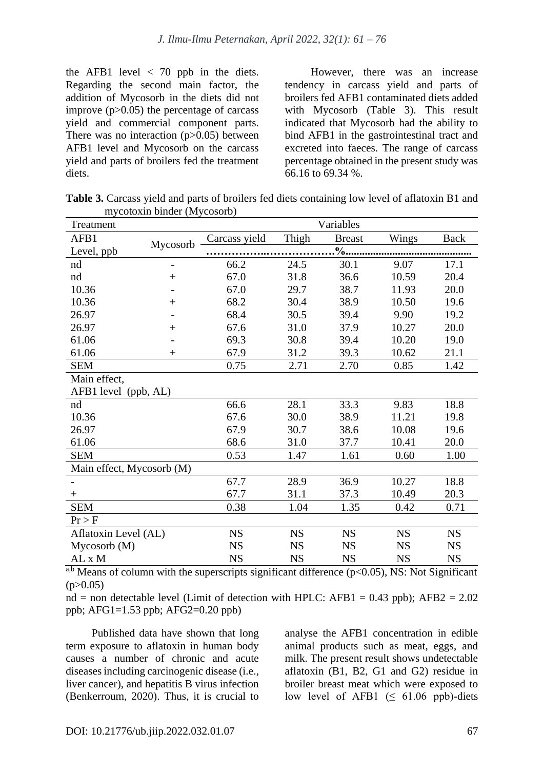the AFB1 level  $\langle 70 \text{ pb} \rangle$  in the diets. Regarding the second main factor, the addition of Mycosorb in the diets did not improve  $(p>0.05)$  the percentage of carcass yield and commercial component parts. There was no interaction  $(p>0.05)$  between AFB1 level and Mycosorb on the carcass yield and parts of broilers fed the treatment diets.

However, there was an increase tendency in carcass yield and parts of broilers fed AFB1 contaminated diets added with Mycosorb (Table 3). This result indicated that Mycosorb had the ability to bind AFB1 in the gastrointestinal tract and excreted into faeces. The range of carcass percentage obtained in the present study was 66.16 to 69.34 %.

**Table 3.** Carcass yield and parts of broilers fed diets containing low level of aflatoxin B1 and mycotoxin binder (Mycosorb)

| Treatment                 |                | Variables     |               |               |           |             |  |  |
|---------------------------|----------------|---------------|---------------|---------------|-----------|-------------|--|--|
| AFB1                      |                | Carcass yield | Thigh         | <b>Breast</b> | Wings     | <b>Back</b> |  |  |
| Level, ppb                | Mycosorb       |               | $\frac{0}{2}$ |               |           |             |  |  |
| nd                        | $\overline{a}$ | 66.2          | 24.5          | 30.1          | 9.07      | 17.1        |  |  |
| nd                        | $^{+}$         | 67.0          | 31.8          | 36.6          | 10.59     | 20.4        |  |  |
| 10.36                     |                | 67.0          | 29.7          | 38.7          | 11.93     | 20.0        |  |  |
| 10.36                     | $^{+}$         | 68.2          | 30.4          | 38.9          | 10.50     | 19.6        |  |  |
| 26.97                     |                | 68.4          | 30.5          | 39.4          | 9.90      | 19.2        |  |  |
| 26.97                     | $^{+}$         | 67.6          | 31.0          | 37.9          | 10.27     | 20.0        |  |  |
| 61.06                     |                | 69.3          | 30.8          | 39.4          | 10.20     | 19.0        |  |  |
| 61.06                     | $^{+}$         | 67.9          | 31.2          | 39.3          | 10.62     | 21.1        |  |  |
| <b>SEM</b>                |                | 0.75          | 2.71          | 2.70          | 0.85      | 1.42        |  |  |
| Main effect,              |                |               |               |               |           |             |  |  |
| AFB1 level (ppb, AL)      |                |               |               |               |           |             |  |  |
| nd                        |                | 66.6          | 28.1          | 33.3          | 9.83      | 18.8        |  |  |
| 10.36                     |                | 67.6          | 30.0          | 38.9          | 11.21     | 19.8        |  |  |
| 26.97                     |                | 67.9          | 30.7          | 38.6          | 10.08     | 19.6        |  |  |
| 61.06                     |                | 68.6          | 31.0          | 37.7          | 10.41     | 20.0        |  |  |
| <b>SEM</b>                |                | 0.53          | 1.47          | 1.61          | 0.60      | 1.00        |  |  |
| Main effect, Mycosorb (M) |                |               |               |               |           |             |  |  |
|                           |                | 67.7          | 28.9          | 36.9          | 10.27     | 18.8        |  |  |
| $^+$                      |                | 67.7          | 31.1          | 37.3          | 10.49     | 20.3        |  |  |
| <b>SEM</b>                |                | 0.38          | 1.04          | 1.35          | 0.42      | 0.71        |  |  |
| Pr > F                    |                |               |               |               |           |             |  |  |
| Aflatoxin Level (AL)      |                | <b>NS</b>     | <b>NS</b>     | <b>NS</b>     | <b>NS</b> | <b>NS</b>   |  |  |
| Mycosorb(M)               |                | <b>NS</b>     | <b>NS</b>     | <b>NS</b>     | <b>NS</b> | <b>NS</b>   |  |  |
| AL x M                    |                | <b>NS</b>     | <b>NS</b>     | <b>NS</b>     | <b>NS</b> | <b>NS</b>   |  |  |

<sup>a,b</sup> Means of column with the superscripts significant difference ( $p<0.05$ ), NS: Not Significant  $(p>0.05)$ 

nd = non detectable level (Limit of detection with HPLC: AFB1 =  $0.43$  ppb); AFB2 =  $2.02$ ppb; AFG1=1.53 ppb; AFG2=0.20 ppb)

Published data have shown that long term exposure to aflatoxin in human body causes a number of chronic and acute diseases including carcinogenic disease (i.e., liver cancer), and hepatitis B virus infection (Benkerroum, 2020). Thus, it is crucial to analyse the AFB1 concentration in edible animal products such as meat, eggs, and milk. The present result shows undetectable aflatoxin (B1, B2, G1 and G2) residue in broiler breast meat which were exposed to low level of AFB1 ( $\leq$  61.06 ppb)-diets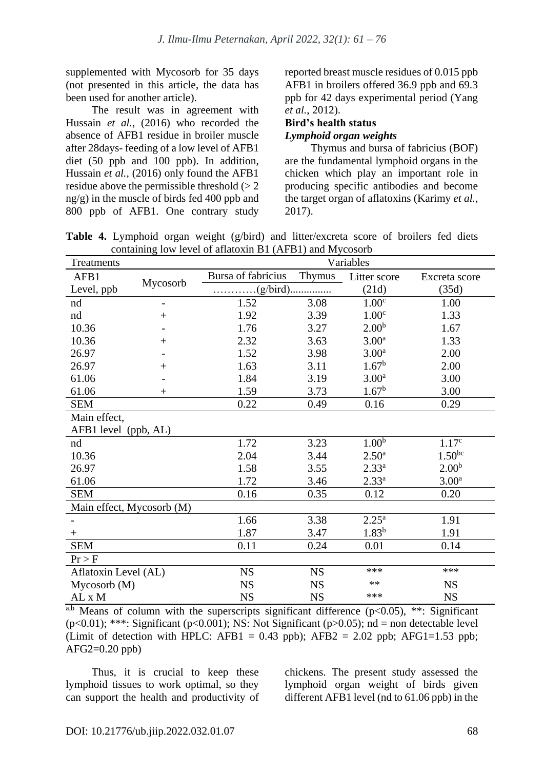supplemented with Mycosorb for 35 days (not presented in this article, the data has been used for another article).

The result was in agreement with Hussain *et al.*, (2016) who recorded the absence of AFB1 residue in broiler muscle after 28days- feeding of a low level of AFB1 diet (50 ppb and 100 ppb). In addition, Hussain *et al.*, (2016) only found the AFB1 residue above the permissible threshold  $(> 2$ ng/g) in the muscle of birds fed 400 ppb and 800 ppb of AFB1. One contrary study reported breast muscle residues of 0.015 ppb AFB1 in broilers offered 36.9 ppb and 69.3 ppb for 42 days experimental period (Yang *et al.*, 2012).

### **Bird's health status** *Lymphoid organ weights*

Thymus and bursa of fabricius (BOF) are the fundamental lymphoid organs in the chicken which play an important role in producing specific antibodies and become the target organ of aflatoxins (Karimy *et al.*, 2017).

**Table 4.** Lymphoid organ weight (g/bird) and litter/excreta score of broilers fed diets containing low level of aflatoxin B1 (AFB1) and Mycosorb

| Treatments                |                |                                                      | Variables |                   |                   |  |  |
|---------------------------|----------------|------------------------------------------------------|-----------|-------------------|-------------------|--|--|
| AFB1                      |                | Bursa of fabricius                                   | Thymus    | Litter score      | Excreta score     |  |  |
| Level, ppb                | Mycosorb       | $\ldots \ldots \ldots (g/bird) \ldots \ldots \ldots$ |           | (21d)             | (35d)             |  |  |
| nd                        | $\overline{a}$ | 1.52                                                 | 3.08      | 1.00 <sup>c</sup> | 1.00              |  |  |
| nd                        | $^{+}$         | 1.92                                                 | 3.39      | 1.00 <sup>c</sup> | 1.33              |  |  |
| 10.36                     |                | 1.76                                                 | 3.27      | 2.00 <sup>b</sup> | 1.67              |  |  |
| 10.36                     | $^{+}$         | 2.32                                                 | 3.63      | 3.00 <sup>a</sup> | 1.33              |  |  |
| 26.97                     |                | 1.52                                                 | 3.98      | 3.00 <sup>a</sup> | 2.00              |  |  |
| 26.97                     | $^{+}$         | 1.63                                                 | 3.11      | $1.67^{\rm b}$    | 2.00              |  |  |
| 61.06                     |                | 1.84                                                 | 3.19      | 3.00 <sup>a</sup> | 3.00              |  |  |
| 61.06                     | $^{+}$         | 1.59                                                 | 3.73      | $1.67^{\rm b}$    | 3.00              |  |  |
| <b>SEM</b>                |                | 0.22                                                 | 0.49      | 0.16              | 0.29              |  |  |
| Main effect,              |                |                                                      |           |                   |                   |  |  |
| AFB1 level (ppb, AL)      |                |                                                      |           |                   |                   |  |  |
| nd                        |                | 1.72                                                 | 3.23      | 1.00 <sup>b</sup> | 1.17 <sup>c</sup> |  |  |
| 10.36                     |                | 2.04                                                 | 3.44      | $2.50^{\rm a}$    | $1.50^{bc}$       |  |  |
| 26.97                     |                | 1.58                                                 | 3.55      | $2.33^{a}$        | 2.00 <sup>b</sup> |  |  |
| 61.06                     |                | 1.72                                                 | 3.46      | $2.33^{a}$        | 3.00 <sup>a</sup> |  |  |
| <b>SEM</b>                |                | 0.16                                                 | 0.35      | 0.12              | 0.20              |  |  |
| Main effect, Mycosorb (M) |                |                                                      |           |                   |                   |  |  |
|                           |                | 1.66                                                 | 3.38      | $2.25^{\rm a}$    | 1.91              |  |  |
| $^{+}$                    |                | 1.87                                                 | 3.47      | $1.83^{b}$        | 1.91              |  |  |
| <b>SEM</b>                |                | 0.11                                                 | 0.24      | 0.01              | 0.14              |  |  |
| $Pr$ > F                  |                |                                                      |           |                   |                   |  |  |
| Aflatoxin Level (AL)      |                | <b>NS</b>                                            | <b>NS</b> | ***               | ***               |  |  |
| Mycosorb(M)               |                | <b>NS</b>                                            | <b>NS</b> | $**$              | <b>NS</b>         |  |  |
| $AL \ge M$                |                | <b>NS</b>                                            | <b>NS</b> | ***               | <b>NS</b>         |  |  |

<sup>a,b</sup> Means of column with the superscripts significant difference ( $p<0.05$ ), \*\*: Significant  $(p<0.01)$ ; \*\*\*: Significant  $(p<0.001)$ ; NS: Not Significant  $(p>0.05)$ ; nd = non detectable level (Limit of detection with HPLC: AFB1 =  $0.43$  ppb); AFB2 =  $2.02$  ppb; AFG1=1.53 ppb;  $AFG2=0.20$  ppb)

Thus, it is crucial to keep these lymphoid tissues to work optimal, so they can support the health and productivity of chickens. The present study assessed the lymphoid organ weight of birds given different AFB1 level (nd to 61.06 ppb) in the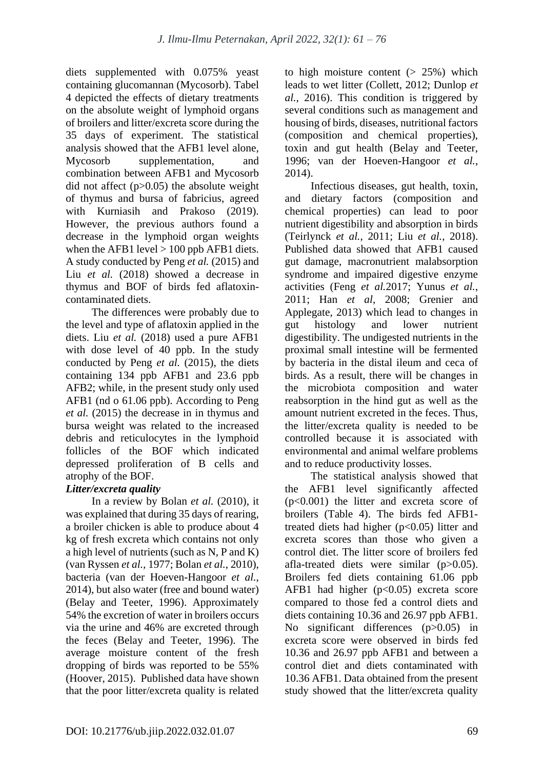diets supplemented with 0.075% yeast containing glucomannan (Mycosorb). Tabel 4 depicted the effects of dietary treatments on the absolute weight of lymphoid organs of broilers and litter/excreta score during the 35 days of experiment. The statistical analysis showed that the AFB1 level alone, Mycosorb supplementation, and combination between AFB1 and Mycosorb did not affect (p>0.05) the absolute weight of thymus and bursa of fabricius, agreed with Kurniasih and Prakoso (2019). However, the previous authors found a decrease in the lymphoid organ weights when the AFB1 level  $> 100$  ppb AFB1 diets. A study conducted by Peng *et al.* (2015) and Liu *et al.* (2018) showed a decrease in thymus and BOF of birds fed aflatoxincontaminated diets.

The differences were probably due to the level and type of aflatoxin applied in the diets. Liu *et al.* (2018) used a pure AFB1 with dose level of 40 ppb. In the study conducted by Peng *et al.* (2015), the diets containing 134 ppb AFB1 and 23.6 ppb AFB2; while, in the present study only used AFB1 (nd o 61.06 ppb). According to Peng *et al.* (2015) the decrease in in thymus and bursa weight was related to the increased debris and reticulocytes in the lymphoid follicles of the BOF which indicated depressed proliferation of B cells and atrophy of the BOF.

# *Litter/excreta quality*

In a review by Bolan *et al.* (2010), it was explained that during 35 days of rearing, a broiler chicken is able to produce about 4 kg of fresh excreta which contains not only a high level of nutrients (such as N, P and K) (van Ryssen *et al.,* 1977; Bolan *et al.*, 2010), bacteria (van der Hoeven-Hangoor *et al.*, 2014), but also water (free and bound water) (Belay and Teeter, 1996). Approximately 54% the excretion of water in broilers occurs via the urine and 46% are excreted through the feces (Belay and Teeter, 1996). The average moisture content of the fresh dropping of birds was reported to be 55% (Hoover, 2015). Published data have shown that the poor litter/excreta quality is related to high moisture content  $(> 25\%)$  which leads to wet litter (Collett, 2012; Dunlop *et al.,* 2016). This condition is triggered by several conditions such as management and housing of birds, diseases, nutritional factors (composition and chemical properties), toxin and gut health (Belay and Teeter, 1996; van der Hoeven-Hangoor *et al.*, 2014).

Infectious diseases, gut health, toxin, and dietary factors (composition and chemical properties) can lead to poor nutrient digestibility and absorption in birds (Teirlynck *et al.*, 2011; Liu *et al.*, 2018). Published data showed that AFB1 caused gut damage, macronutrient malabsorption syndrome and impaired digestive enzyme activities (Feng *et al.*2017; Yunus *et al.*, 2011; Han *et al,* 2008; Grenier and Applegate, 2013) which lead to changes in gut histology and lower nutrient digestibility. The undigested nutrients in the proximal small intestine will be fermented by bacteria in the distal ileum and ceca of birds. As a result, there will be changes in the microbiota composition and water reabsorption in the hind gut as well as the amount nutrient excreted in the feces. Thus, the litter/excreta quality is needed to be controlled because it is associated with environmental and animal welfare problems and to reduce productivity losses.

The statistical analysis showed that the AFB1 level significantly affected (p<0.001) the litter and excreta score of broilers (Table 4). The birds fed AFB1 treated diets had higher (p<0.05) litter and excreta scores than those who given a control diet. The litter score of broilers fed afla-treated diets were similar (p>0.05). Broilers fed diets containing 61.06 ppb AFB1 had higher  $(p<0.05)$  excreta score compared to those fed a control diets and diets containing 10.36 and 26.97 ppb AFB1. No significant differences (p>0.05) in excreta score were observed in birds fed 10.36 and 26.97 ppb AFB1 and between a control diet and diets contaminated with 10.36 AFB1. Data obtained from the present study showed that the litter/excreta quality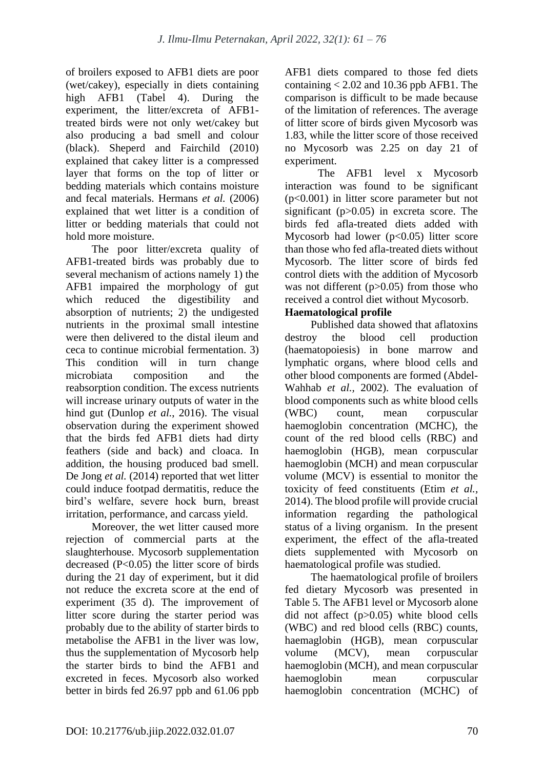of broilers exposed to AFB1 diets are poor (wet/cakey), especially in diets containing high AFB1 (Tabel 4). During the experiment, the litter/excreta of AFB1 treated birds were not only wet/cakey but also producing a bad smell and colour (black). Sheperd and Fairchild (2010) explained that cakey litter is a compressed layer that forms on the top of litter or bedding materials which contains moisture and fecal materials. Hermans *et al.* (2006) explained that wet litter is a condition of litter or bedding materials that could not hold more moisture.

The poor litter/excreta quality of AFB1-treated birds was probably due to several mechanism of actions namely 1) the AFB1 impaired the morphology of gut which reduced the digestibility and absorption of nutrients; 2) the undigested nutrients in the proximal small intestine were then delivered to the distal ileum and ceca to continue microbial fermentation. 3) This condition will in turn change microbiata composition and the reabsorption condition. The excess nutrients will increase urinary outputs of water in the hind gut (Dunlop *et al.*, 2016). The visual observation during the experiment showed that the birds fed AFB1 diets had dirty feathers (side and back) and cloaca. In addition, the housing produced bad smell. De Jong *et al.* (2014) reported that wet litter could induce footpad dermatitis, reduce the bird's welfare, severe hock burn, breast irritation, performance, and carcass yield.

Moreover, the wet litter caused more rejection of commercial parts at the slaughterhouse. Mycosorb supplementation decreased  $(P<0.05)$  the litter score of birds during the 21 day of experiment, but it did not reduce the excreta score at the end of experiment (35 d). The improvement of litter score during the starter period was probably due to the ability of starter birds to metabolise the AFB1 in the liver was low, thus the supplementation of Mycosorb help the starter birds to bind the AFB1 and excreted in feces. Mycosorb also worked better in birds fed 26.97 ppb and 61.06 ppb AFB1 diets compared to those fed diets containing  $< 2.02$  and 10.36 ppb AFB1. The comparison is difficult to be made because of the limitation of references. The average of litter score of birds given Mycosorb was 1.83, while the litter score of those received no Mycosorb was 2.25 on day 21 of experiment.

The AFB1 level x Mycosorb interaction was found to be significant (p<0.001) in litter score parameter but not significant (p>0.05) in excreta score. The birds fed afla-treated diets added with Mycosorb had lower  $(p<0.05)$  litter score than those who fed afla-treated diets without Mycosorb. The litter score of birds fed control diets with the addition of Mycosorb was not different  $(p>0.05)$  from those who received a control diet without Mycosorb.

# **Haematological profile**

Published data showed that aflatoxins destroy the blood cell production (haematopoiesis) in bone marrow and lymphatic organs, where blood cells and other blood components are formed (Abdel-Wahhab *et al.,* 2002). The evaluation of blood components such as white blood cells (WBC) count, mean corpuscular haemoglobin concentration (MCHC), the count of the red blood cells (RBC) and haemoglobin (HGB), mean corpuscular haemoglobin (MCH) and mean corpuscular volume (MCV) is essential to monitor the toxicity of feed constituents (Etim *et al.,* 2014). The blood profile will provide crucial information regarding the pathological status of a living organism. In the present experiment, the effect of the afla-treated diets supplemented with Mycosorb on haematological profile was studied.

The haematological profile of broilers fed dietary Mycosorb was presented in Table 5. The AFB1 level or Mycosorb alone did not affect (p>0.05) white blood cells (WBC) and red blood cells (RBC) counts, haemaglobin (HGB), mean corpuscular volume (MCV), mean corpuscular haemoglobin (MCH), and mean corpuscular haemoglobin mean corpuscular haemoglobin concentration (MCHC) of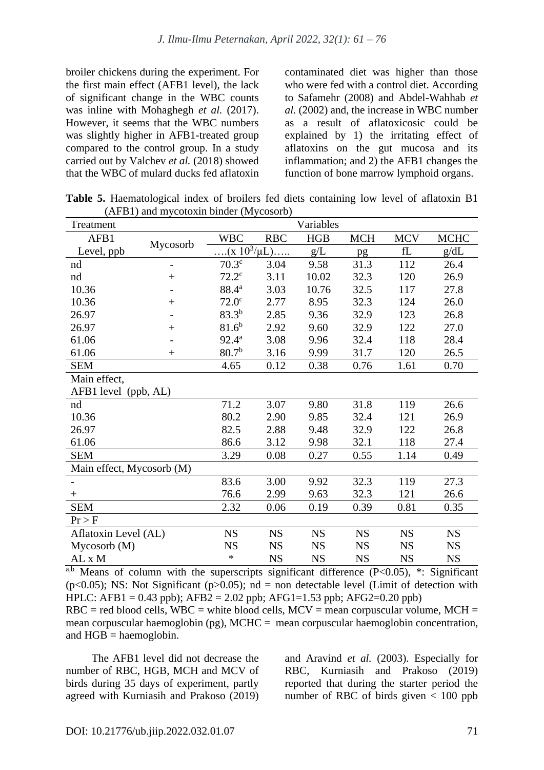broiler chickens during the experiment. For the first main effect (AFB1 level), the lack of significant change in the WBC counts was inline with Mohaghegh *et al.* (2017). However, it seems that the WBC numbers was slightly higher in AFB1-treated group compared to the control group. In a study carried out by Valchev *et al.* (2018) showed that the WBC of mulard ducks fed aflatoxin

contaminated diet was higher than those who were fed with a control diet. According to Safamehr (2008) and Abdel-Wahhab *et al.* (2002) and, the increase in WBC number as a result of aflatoxicosic could be explained by 1) the irritating effect of aflatoxins on the gut mucosa and its inflammation; and 2) the AFB1 changes the function of bone marrow lymphoid organs.

**Table 5.** Haematological index of broilers fed diets containing low level of aflatoxin B1 (AFB1) and mycotoxin binder (Mycosorb)

| Treatment                 |          | Variables         |            |           |            |                       |             |
|---------------------------|----------|-------------------|------------|-----------|------------|-----------------------|-------------|
| AFB1                      | Mycosorb | <b>WBC</b>        | <b>RBC</b> | HGB       | <b>MCH</b> | <b>MCV</b>            | <b>MCHC</b> |
| Level, ppb                |          | $(x 10^3/\mu L)$  |            | g/L       | pg         | $\operatorname{f\!L}$ | g/dL        |
| nd                        | -        | 70.3 <sup>c</sup> | 3.04       | 9.58      | 31.3       | 112                   | 26.4        |
| nd                        | $^{+}$   | $72.2^{\circ}$    | 3.11       | 10.02     | 32.3       | 120                   | 26.9        |
| 10.36                     |          | 88.4 <sup>a</sup> | 3.03       | 10.76     | 32.5       | 117                   | 27.8        |
| 10.36                     | $^{+}$   | 72.0 <sup>c</sup> | 2.77       | 8.95      | 32.3       | 124                   | 26.0        |
| 26.97                     |          | $83.3^{b}$        | 2.85       | 9.36      | 32.9       | 123                   | 26.8        |
| 26.97                     | $^{+}$   | $81.6^{b}$        | 2.92       | 9.60      | 32.9       | 122                   | 27.0        |
| 61.06                     |          | $92.4^{\rm a}$    | 3.08       | 9.96      | 32.4       | 118                   | 28.4        |
| 61.06                     | $+$      | 80.7 <sup>b</sup> | 3.16       | 9.99      | 31.7       | 120                   | 26.5        |
| <b>SEM</b>                |          | 4.65              | 0.12       | 0.38      | 0.76       | 1.61                  | 0.70        |
| Main effect,              |          |                   |            |           |            |                       |             |
| AFB1 level (ppb, AL)      |          |                   |            |           |            |                       |             |
| nd                        |          | 71.2              | 3.07       | 9.80      | 31.8       | 119                   | 26.6        |
| 10.36                     |          | 80.2              | 2.90       | 9.85      | 32.4       | 121                   | 26.9        |
| 26.97                     |          | 82.5              | 2.88       | 9.48      | 32.9       | 122                   | 26.8        |
| 61.06                     |          | 86.6              | 3.12       | 9.98      | 32.1       | 118                   | 27.4        |
| <b>SEM</b>                |          | 3.29              | 0.08       | 0.27      | 0.55       | 1.14                  | 0.49        |
| Main effect, Mycosorb (M) |          |                   |            |           |            |                       |             |
|                           |          | 83.6              | 3.00       | 9.92      | 32.3       | 119                   | 27.3        |
| $\mathrm{+}$              |          | 76.6              | 2.99       | 9.63      | 32.3       | 121                   | 26.6        |
| <b>SEM</b>                |          | 2.32              | 0.06       | 0.19      | 0.39       | 0.81                  | 0.35        |
| Pr > F                    |          |                   |            |           |            |                       |             |
| Aflatoxin Level (AL)      |          | <b>NS</b>         | <b>NS</b>  | <b>NS</b> | <b>NS</b>  | <b>NS</b>             | <b>NS</b>   |
| Mycosorb(M)               |          | <b>NS</b>         | <b>NS</b>  | <b>NS</b> | <b>NS</b>  | <b>NS</b>             | <b>NS</b>   |
| AL x M                    |          | $\ast$            | <b>NS</b>  | <b>NS</b> | <b>NS</b>  | <b>NS</b>             | <b>NS</b>   |

<sup>a,b</sup> Means of column with the superscripts significant difference  $(P<0.05)$ , \*: Significant (p<0.05); NS: Not Significant (p>0.05); nd = non detectable level (Limit of detection with HPLC: AFB1 = 0.43 ppb); AFB2 = 2.02 ppb; AFG1=1.53 ppb; AFG2=0.20 ppb)

 $RBC = red blood cells$ ,  $WBC = white blood cells$ ,  $MCV = mean corpuscular volume$ ,  $MCH =$ mean corpuscular haemoglobin (pg), MCHC = mean corpuscular haemoglobin concentration, and  $HGB = haemoglobin$ .

The AFB1 level did not decrease the number of RBC, HGB, MCH and MCV of birds during 35 days of experiment, partly agreed with Kurniasih and Prakoso (2019) and Aravind *et al.* (2003). Especially for RBC, Kurniasih and Prakoso (2019) reported that during the starter period the number of RBC of birds given  $< 100$  ppb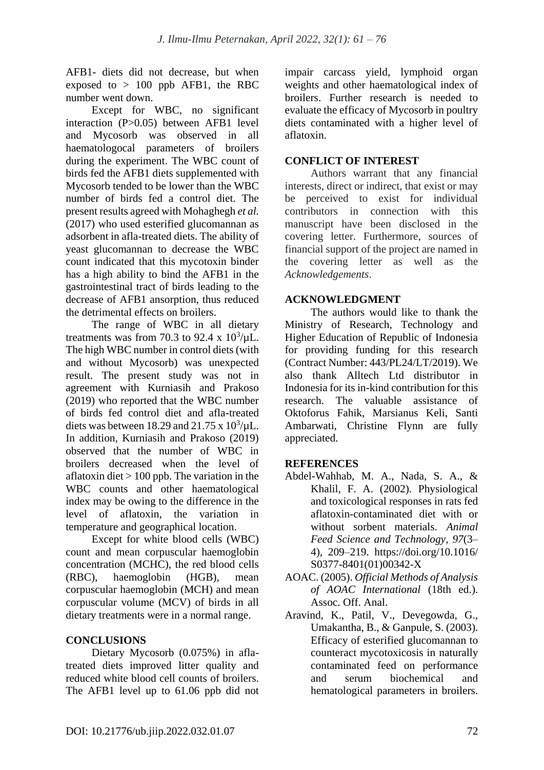AFB1- diets did not decrease, but when exposed to  $> 100$  ppb AFB1, the RBC number went down.

Except for WBC, no significant interaction (P>0.05) between AFB1 level and Mycosorb was observed in all haematologocal parameters of broilers during the experiment. The WBC count of birds fed the AFB1 diets supplemented with Mycosorb tended to be lower than the WBC number of birds fed a control diet. The present results agreed with Mohaghegh *et al.* (2017) who used esterified glucomannan as adsorbent in afla-treated diets. The ability of yeast glucomannan to decrease the WBC count indicated that this mycotoxin binder has a high ability to bind the AFB1 in the gastrointestinal tract of birds leading to the decrease of AFB1 ansorption, thus reduced the detrimental effects on broilers.

The range of WBC in all dietary treatments was from 70.3 to 92.4 x  $10^3/\mu L$ . The high WBC number in control diets (with and without Mycosorb) was unexpected result. The present study was not in agreement with Kurniasih and Prakoso (2019) who reported that the WBC number of birds fed control diet and afla-treated diets was between 18.29 and 21.75 x  $10^3/\mu$ L. In addition, Kurniasih and Prakoso (2019) observed that the number of WBC in broilers decreased when the level of aflatoxin diet  $> 100$  ppb. The variation in the WBC counts and other haematological index may be owing to the difference in the level of aflatoxin, the variation in temperature and geographical location.

Except for white blood cells (WBC) count and mean corpuscular haemoglobin concentration (MCHC), the red blood cells (RBC), haemoglobin (HGB), mean corpuscular haemoglobin (MCH) and mean corpuscular volume (MCV) of birds in all dietary treatments were in a normal range.

# **CONCLUSIONS**

Dietary Mycosorb (0.075%) in aflatreated diets improved litter quality and reduced white blood cell counts of broilers. The AFB1 level up to 61.06 ppb did not impair carcass yield, lymphoid organ weights and other haematological index of broilers. Further research is needed to evaluate the efficacy of Mycosorb in poultry diets contaminated with a higher level of aflatoxin.

# **CONFLICT OF INTEREST**

Authors warrant that any financial interests, direct or indirect, that exist or may be perceived to exist for individual contributors in connection with this manuscript have been disclosed in the covering letter. Furthermore, sources of financial support of the project are named in the covering letter as well as the *Acknowledgements*.

# **ACKNOWLEDGMENT**

The authors would like to thank the Ministry of Research, Technology and Higher Education of Republic of Indonesia for providing funding for this research (Contract Number: 443/PL24/LT/2019). We also thank Alltech Ltd distributor in Indonesia for its in-kind contribution for this research. The valuable assistance of Oktoforus Fahik, Marsianus Keli, Santi Ambarwati, Christine Flynn are fully appreciated.

# **REFERENCES**

- Abdel-Wahhab, M. A., Nada, S. A., & Khalil, F. A. (2002). Physiological and toxicological responses in rats fed aflatoxin-contaminated diet with or without sorbent materials. *Animal Feed Science and Technology*, *97*(3– 4), 209–219. https://doi.org/10.1016/ S0377-8401(01)00342-X
- AOAC. (2005). *Official Methods of Analysis of AOAC International* (18th ed.). Assoc. Off. Anal.
- Aravind, K., Patil, V., Devegowda, G., Umakantha, B., & Ganpule, S. (2003). Efficacy of esterified glucomannan to counteract mycotoxicosis in naturally contaminated feed on performance and serum biochemical and hematological parameters in broilers.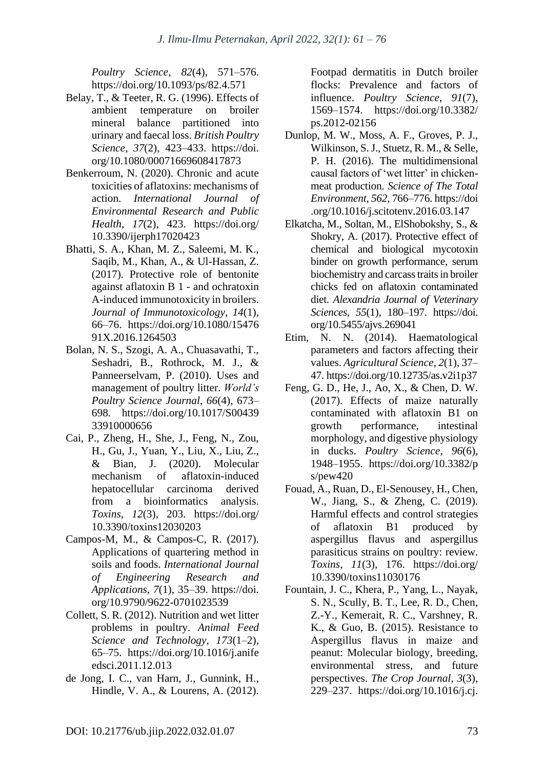*Poultry Science*, *82*(4), 571–576. https://doi.org/10.1093/ps/82.4.571

- Belay, T., & Teeter, R. G. (1996). Effects of ambient temperature on broiler mineral balance partitioned into urinary and faecal loss. *British Poultry Science*, *37*(2), 423–433. https://doi. org/10.1080/00071669608417873
- Benkerroum, N. (2020). Chronic and acute toxicities of aflatoxins: mechanisms of action. *International Journal of Environmental Research and Public Health*, *17*(2), 423. https://doi.org/ 10.3390/ijerph17020423
- Bhatti, S. A., Khan, M. Z., Saleemi, M. K., Saqib, M., Khan, A., & Ul-Hassan, Z. (2017). Protective role of bentonite against aflatoxin B 1 - and ochratoxin A-induced immunotoxicity in broilers. *Journal of Immunotoxicology*, *14*(1), 66–76. https://doi.org/10.1080/15476 91X.2016.1264503
- Bolan, N. S., Szogi, A. A., Chuasavathi, T., Seshadri, B., Rothrock, M. J., & Panneerselvam, P. (2010). Uses and management of poultry litter. *World's Poultry Science Journal*, *66*(4), 673– 698. https://doi.org/10.1017/S00439 33910000656
- Cai, P., Zheng, H., She, J., Feng, N., Zou, H., Gu, J., Yuan, Y., Liu, X., Liu, Z., & Bian, J. (2020). Molecular mechanism of aflatoxin-induced hepatocellular carcinoma derived from a bioinformatics analysis. *Toxins*, *12*(3), 203. https://doi.org/ 10.3390/toxins12030203
- Campos-M, M., & Campos-C, R. (2017). Applications of quartering method in soils and foods. *International Journal of Engineering Research and Applications*, *7*(1), 35–39. https://doi. org/10.9790/9622-0701023539
- Collett, S. R. (2012). Nutrition and wet litter problems in poultry. *Animal Feed Science and Technology*, *173*(1–2), 65–75. https://doi.org/10.1016/j.anife edsci.2011.12.013
- de Jong, I. C., van Harn, J., Gunnink, H., Hindle, V. A., & Lourens, A. (2012).

Footpad dermatitis in Dutch broiler flocks: Prevalence and factors of influence. *Poultry Science*, *91*(7), 1569–1574. https://doi.org/10.3382/ ps.2012-02156

- Dunlop, M. W., Moss, A. F., Groves, P. J., Wilkinson, S. J., Stuetz, R. M., & Selle, P. H. (2016). The multidimensional causal factors of 'wet litter' in chickenmeat production. *Science of The Total Environment*, *562*, 766–776. https://doi .org/10.1016/j.scitotenv.2016.03.147
- Elkatcha, M., Soltan, M., ElShobokshy, S., & Shokry, A. (2017). Protective effect of chemical and biological mycotoxin binder on growth performance, serum biochemistry and carcass traits in broiler chicks fed on aflatoxin contaminated diet. *Alexandria Journal of Veterinary Sciences*, *55*(1), 180–197. https://doi. org/10.5455/ajvs.269041
- Etim, N. N. (2014). Haematological parameters and factors affecting their values. *Agricultural Science*, *2*(1), 37– 47. https://doi.org/10.12735/as.v2i1p37
- Feng, G. D., He, J., Ao, X., & Chen, D. W. (2017). Effects of maize naturally contaminated with aflatoxin B1 on growth performance, intestinal morphology, and digestive physiology in ducks. *Poultry Science*, *96*(6), 1948–1955. https://doi.org/10.3382/p s/pew420
- Fouad, A., Ruan, D., El-Senousey, H., Chen, W., Jiang, S., & Zheng, C. (2019). Harmful effects and control strategies of aflatoxin B1 produced by aspergillus flavus and aspergillus parasiticus strains on poultry: review. *Toxins*, *11*(3), 176. https://doi.org/ 10.3390/toxins11030176
- Fountain, J. C., Khera, P., Yang, L., Nayak, S. N., Scully, B. T., Lee, R. D., Chen, Z.-Y., Kemerait, R. C., Varshney, R. K., & Guo, B. (2015). Resistance to Aspergillus flavus in maize and peanut: Molecular biology, breeding, environmental stress, and future perspectives. *The Crop Journal*, *3*(3), 229–237. https://doi.org/10.1016/j.cj.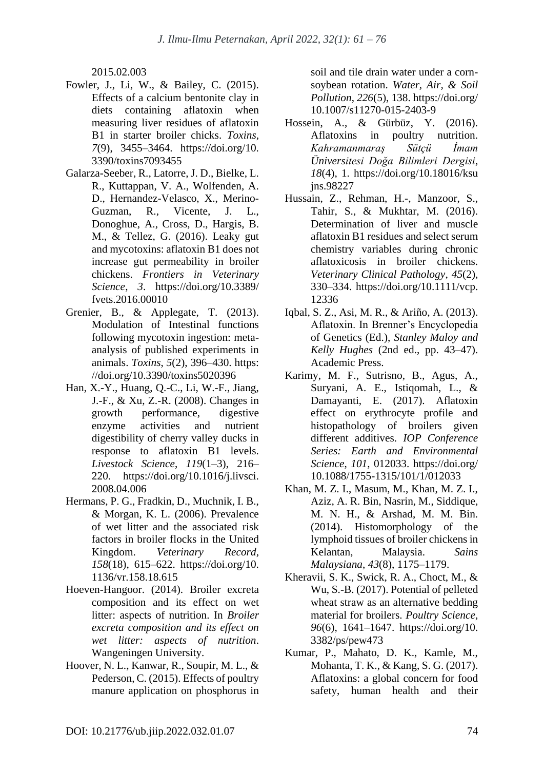2015.02.003

- Fowler, J., Li, W., & Bailey, C. (2015). Effects of a calcium bentonite clay in diets containing aflatoxin when measuring liver residues of aflatoxin B1 in starter broiler chicks. *Toxins*, *7*(9), 3455–3464. https://doi.org/10. 3390/toxins7093455
- Galarza-Seeber, R., Latorre, J. D., Bielke, L. R., Kuttappan, V. A., Wolfenden, A. D., Hernandez-Velasco, X., Merino-Guzman, R., Vicente, J. L., Donoghue, A., Cross, D., Hargis, B. M., & Tellez, G. (2016). Leaky gut and mycotoxins: aflatoxin B1 does not increase gut permeability in broiler chickens. *Frontiers in Veterinary Science*, *3*. https://doi.org/10.3389/ fvets.2016.00010
- Grenier, B., & Applegate, T. (2013). Modulation of Intestinal functions following mycotoxin ingestion: metaanalysis of published experiments in animals. *Toxins*, *5*(2), 396–430. https: //doi.org/10.3390/toxins5020396
- Han, X.-Y., Huang, Q.-C., Li, W.-F., Jiang, J.-F., & Xu, Z.-R. (2008). Changes in growth performance, digestive enzyme activities and nutrient digestibility of cherry valley ducks in response to aflatoxin B1 levels. *Livestock Science*, *119*(1–3), 216– 220. https://doi.org/10.1016/j.livsci. 2008.04.006
- Hermans, P. G., Fradkin, D., Muchnik, I. B., & Morgan, K. L. (2006). Prevalence of wet litter and the associated risk factors in broiler flocks in the United Kingdom. *Veterinary Record*, *158*(18), 615–622. https://doi.org/10. 1136/vr.158.18.615
- Hoeven-Hangoor. (2014). Broiler excreta composition and its effect on wet litter: aspects of nutrition. In *Broiler excreta composition and its effect on wet litter: aspects of nutrition*. Wangeningen University.
- Hoover, N. L., Kanwar, R., Soupir, M. L., & Pederson, C. (2015). Effects of poultry manure application on phosphorus in

soil and tile drain water under a cornsoybean rotation. *Water, Air, & Soil Pollution*, *226*(5), 138. https://doi.org/ 10.1007/s11270-015-2403-9

- Hossein, A., & Gürbüz, Y. (2016). Aflatoxins in poultry nutrition. *Kahramanmaraş Sütçü İmam Üniversitesi Doğa Bilimleri Dergisi*, *18*(4), 1. https://doi.org/10.18016/ksu jns.98227
- Hussain, Z., Rehman, H.-, Manzoor, S., Tahir, S., & Mukhtar, M. (2016). Determination of liver and muscle aflatoxin B1 residues and select serum chemistry variables during chronic aflatoxicosis in broiler chickens. *Veterinary Clinical Pathology*, *45*(2), 330–334. https://doi.org/10.1111/vcp. 12336
- Iqbal, S. Z., Asi, M. R., & Ariño, A. (2013). Aflatoxin. In Brenner's Encyclopedia of Genetics (Ed.), *Stanley Maloy and Kelly Hughes* (2nd ed., pp. 43–47). Academic Press.
- Karimy, M. F., Sutrisno, B., Agus, A., Suryani, A. E., Istiqomah, L., & Damayanti, E. (2017). Aflatoxin effect on erythrocyte profile and histopathology of broilers given different additives. *IOP Conference Series: Earth and Environmental Science*, *101*, 012033. https://doi.org/ 10.1088/1755-1315/101/1/012033
- Khan, M. Z. I., Masum, M., Khan, M. Z. I., Aziz, A. R. Bin, Nasrin, M., Siddique, M. N. H., & Arshad, M. M. Bin. (2014). Histomorphology of the lymphoid tissues of broiler chickens in Kelantan, Malaysia. *Sains Malaysiana*, *43*(8), 1175–1179.
- Kheravii, S. K., Swick, R. A., Choct, M., & Wu, S.-B. (2017). Potential of pelleted wheat straw as an alternative bedding material for broilers. *Poultry Science*, *96*(6), 1641–1647. https://doi.org/10. 3382/ps/pew473
- Kumar, P., Mahato, D. K., Kamle, M., Mohanta, T. K., & Kang, S. G. (2017). Aflatoxins: a global concern for food safety, human health and their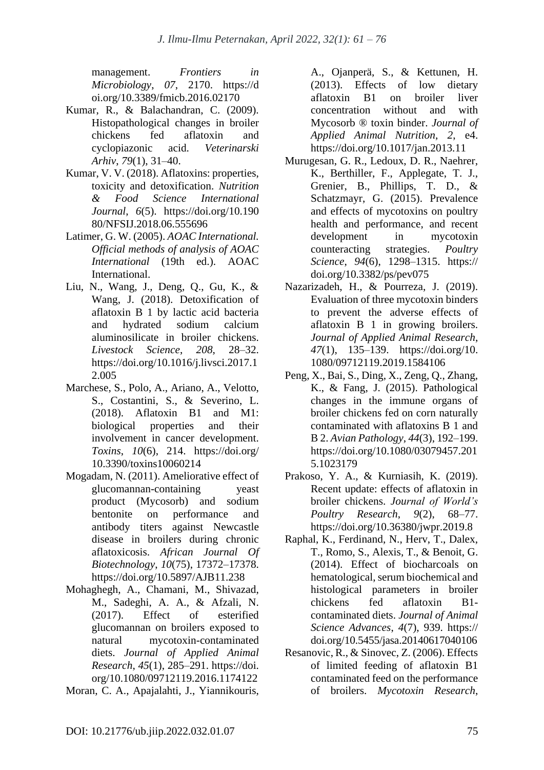management. *Frontiers in Microbiology*, *07*, 2170. https://d oi.org/10.3389/fmicb.2016.02170

- Kumar, R., & Balachandran, C. (2009). Histopathological changes in broiler chickens fed aflatoxin and cyclopiazonic acid. *Veterinarski Arhiv*, *79*(1), 31–40.
- Kumar, V. V. (2018). Aflatoxins: properties, toxicity and detoxification. *Nutrition & Food Science International Journal*, *6*(5). https://doi.org/10.190 80/NFSIJ.2018.06.555696
- Latimer, G. W. (2005). *AOAC International. Official methods of analysis of AOAC International* (19th ed.). AOAC International.
- Liu, N., Wang, J., Deng, Q., Gu, K., & Wang, J. (2018). Detoxification of aflatoxin B 1 by lactic acid bacteria and hydrated sodium calcium aluminosilicate in broiler chickens. *Livestock Science*, *208*, 28–32. https://doi.org/10.1016/j.livsci.2017.1 2.005
- Marchese, S., Polo, A., Ariano, A., Velotto, S., Costantini, S., & Severino, L. (2018). Aflatoxin B1 and M1: biological properties and their involvement in cancer development. *Toxins*, *10*(6), 214. https://doi.org/ 10.3390/toxins10060214
- Mogadam, N. (2011). Ameliorative effect of glucomannan-containing yeast product (Mycosorb) and sodium bentonite on performance and antibody titers against Newcastle disease in broilers during chronic aflatoxicosis. *African Journal Of Biotechnology*, *10*(75), 17372–17378. https://doi.org/10.5897/AJB11.238
- Mohaghegh, A., Chamani, M., Shivazad, M., Sadeghi, A. A., & Afzali, N. (2017). Effect of esterified glucomannan on broilers exposed to natural mycotoxin-contaminated diets. *Journal of Applied Animal Research*, *45*(1), 285–291. https://doi. org/10.1080/09712119.2016.1174122
- Moran, C. A., Apajalahti, J., Yiannikouris,

A., Ojanperä, S., & Kettunen, H. (2013). Effects of low dietary aflatoxin B1 on broiler liver concentration without and with Mycosorb ® toxin binder. *Journal of Applied Animal Nutrition*, *2*, e4. https://doi.org/10.1017/jan.2013.11

- Murugesan, G. R., Ledoux, D. R., Naehrer, K., Berthiller, F., Applegate, T. J., Grenier, B., Phillips, T. D., & Schatzmayr, G. (2015). Prevalence and effects of mycotoxins on poultry health and performance, and recent development in mycotoxin counteracting strategies. *Poultry Science*, *94*(6), 1298–1315. https:// doi.org/10.3382/ps/pev075
- Nazarizadeh, H., & Pourreza, J. (2019). Evaluation of three mycotoxin binders to prevent the adverse effects of aflatoxin B 1 in growing broilers. *Journal of Applied Animal Research*, *47*(1), 135–139. https://doi.org/10. 1080/09712119.2019.1584106
- Peng, X., Bai, S., Ding, X., Zeng, Q., Zhang, K., & Fang, J. (2015). Pathological changes in the immune organs of broiler chickens fed on corn naturally contaminated with aflatoxins B 1 and B 2. *Avian Pathology*, *44*(3), 192–199. https://doi.org/10.1080/03079457.201 5.1023179
- Prakoso, Y. A., & Kurniasih, K. (2019). Recent update: effects of aflatoxin in broiler chickens. *Journal of World's Poultry Research*, *9*(2), 68–77. https://doi.org/10.36380/jwpr.2019.8
- Raphal, K., Ferdinand, N., Herv, T., Dalex, T., Romo, S., Alexis, T., & Benoit, G. (2014). Effect of biocharcoals on hematological, serum biochemical and histological parameters in broiler chickens fed aflatoxin B1 contaminated diets. *Journal of Animal Science Advances*, *4*(7), 939. https:// doi.org/10.5455/jasa.20140617040106
- Resanovic, R., & Sinovec, Z. (2006). Effects of limited feeding of aflatoxin B1 contaminated feed on the performance of broilers. *Mycotoxin Research*,